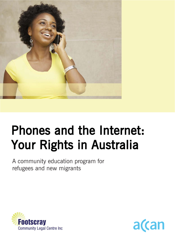

# Phones and the Internet: Your Rights in Australia

A community education program for refugees and new migrants



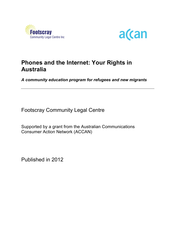



## **Phones and the Internet: Your Rights in Australia**

*A community education program for refugees and new migrants*

Footscray Community Legal Centre

Supported by a grant from the Australian Communications Consumer Action Network (ACCAN)

Published in 2012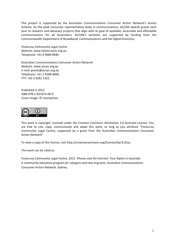This project is supported by the Australian Communications Consumer Action Network's Grants Scheme. As the peak consumer representation body in communications, ACCAN awards grants each year to research and advocacy projects that align with its goal of available, accessible and affordable communications for all Australians. ACCAN's activities are supported by funding from the Commonwealth Department of Broadband, Communications and the Digital Economy.

Footscray Community Legal Centre Website: www.footscrayclc.org.au Telephone: +61 8 9689 8444

Australian Communications Consumer Action Network Website: www.accan.org.au E-mail: grants@accan.org.au Telephone: +61 2 9288 4000; TTY: +61 2 9281 5322

Published in 2012 ISBN 978-1-921974-06-9 Cover image: © istockphoto



This work is copyright, licensed under the Creative Commons Attribution 3.0 Australia Licence. You are free to cite, copy, communicate and adapt this work, so long as you attribute "Footscray" Community Legal Centre, supported by a grant from the Australian Communications Consumer Action Network".

To view a copy of this license, visit http://creativecommons.org/licenses/by/3.0/au.

This work can be cited as:

Footscray Community Legal Centre, 2012. *Phones and the Internet: Your Rights in Australia* A community education program for refugees and new migrants, Australian Communications Consumer Action Network, Sydney.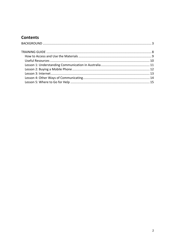## **Contents**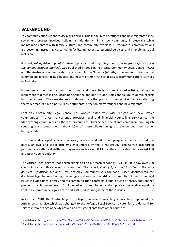## **BACKGROUND**

Telecommunications connectivity plays a crucial role in the lives of refugees and new migrants as the settlement process involves building an identity within a new community in Australia while maintaining contact with family, culture, and community overseas. Furthermore, communications are becoming increasingly essential in facilitating access to essential services, and in enabling social inclusion.

A"report,"*Taking'Advantage'of'Disadvantage:'Case'studies'of'refugee'and'new'migrant'experiences'in'* the communications market<sup>1</sup>, was published in 2011 by Footscray Community Legal Centre (FCLC) and the Australian Communications Consumer Action Network (ACCAN). It documented some of the common challenges facing refugees and new migrants trying to access telecommunications services in Australia.

Issues were identified around confusing and potentially misleading advertising, alongside inappropriate direct selling, including telephone and door-to-door sales and failure to obtain explicit informed consent. The case studies also demonstrate that poor customer service practices affecting the wider market have a particularly detrimental effect on many refugees and new migrants.

Footscray Community Legal Centre has worked extensively with refugee and new settler communities. The Centre currently provides legal and financial counselling services to the Maribyrnong community and the western suburbs. Over 56% of the clients come from non-English speaking backgrounds, with about 25% of these clients being of refugee and new settler backgrounds.

The Centre developed specialist advisory services and education programs that addressed the particular legal and social problems encountered by this client group. The Centre also forged partnerships with local settlement agencies such as Adult Multicultural Education Services (AMES) and New Hope Foundation.

The African Legal Service that began running as an outreach service at AMES in 2007 saw over 750 clients in its first three years of operation. The report, Out of Africa and into Court: the legal problems of African refugees<sup>2</sup>, by Footscray Community Solicitor Katie Fraser, documented the dominant legal issues affecting the refugee and new settler African community. Some of the legal issues included fines, energy and telecommunication contracts, debts, driving offences, and tenancy problems or homelessness. An innovative community education program was developed by Footscray Community Legal Centre and AMES, addressing some of these issues.

In October 2010, the Centre began a Refugee Financial Counselling Service to complement the African Legal Service which was changed to the Refugee Legal Service to cater for the demand for services from a range of newly arrived and refugee clients from other countries.

<sup>&</sup>lt;sup>1</sup> Available at: http://accan.org.au/files/Reports/Taking%20Advantage%20of%20Disadvantage%20Report.pdf<br><sup>2</sup> Available at: http://www.vlaf.org.au/docs/African%20Legal%20service%20Report%20Final.pdf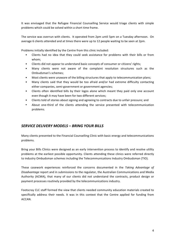It was envisaged that the Refugee Financial Counselling Service would triage clients with simple problems which could be solved within a short time frame.

The service was overrun with clients. It operated from 2pm until 5pm on a Tuesday afternoon. On average 6 clients attended and at times there were up to 12 people waiting to be seen at 2pm.

Problems initially identified by the Centre from this clinic included:

- Clients had no idea that they could seek assistance for problems with their bills or from whom;
- Clients did not appear to understand basic concepts of consumer or citizens' rights;
- Many clients were not aware of the complaint resolution structures such as the Ombudsman's schemes:
- Most clients were unaware of the billing structures that apply to telecommunication plans;
- Many clients said that they would be too afraid and/or had extreme difficulty contacting either companies, semi-government or government agencies;
- Clients often identified bills by their logos alone which meant they paid only one account even though it may have been for two different services;
- Clients told of stories about signing and agreeing to contracts due to unfair pressure; and
- About one-third of the clients attending the service presented with telecommunication problems.

#### *SERVICE'DELIVERY'MODELS'– BRING'YOUR'BILLS*

Many clients presented to the Financial Counselling Clinic with basic energy and telecommunications problems.

Bring your Bills Clinics were designed as an early intervention process to identify and resolve utility problems at the earliest possible opportunity. Clients attending these clinics were referred directly to industry Ombudsman schemes including the Telecommunications Industry Ombudsman (TIO).

These casework experiences reinforced the concerns documented in the Taking Advantage of *Disadvantage* report and in submissions to the regulator, the Australian Communications and Media Authority (ACMA), that many of our clients did not understand the contracts, product design or payment processes routinely provided by the telecommunications industry.

Footscray CLC staff formed the view that clients needed community education materials created to specifically address their needs. It was in this context that the Centre applied for funding from ACCAN.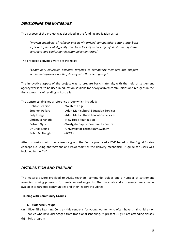#### *DEVELOPING'THE'MATERIALS*

The purpose of the project was described in the funding application as to:

*"Prevent' members' of' refugee' and' newly' arrived' communities' getting' into' both'* legal and financial difficulty due to a lack of knowledge of Australian systems, *contracts,'and'confusing'telecommunication'terms."*

The proposed activities were described as:

*"Community' education' activities' targeted' to' community' members' and' support'* settlement agencies working directly with this client group."

The innovative aspect of the project was to prepare basic materials, with the help of settlement agency workers, to be used in education sessions for newly arrived communities and refugees in the first six months of residing in Australia.

The Centre established a reference group which included:

| Debbie Pearson    | - Western Edge                           |
|-------------------|------------------------------------------|
| Stephen Pollard   | - Adult Multicultural Education Services |
| Poly Kiyaga       | - Adult Multicultural Education Services |
| Chrisoula Kanaris | - New Hope Foundation                    |
| ZaTuah Ngur       | - Westgate Baptist Community Centre      |
| Dr Linda Leung    | - University of Technology, Sydney       |
| Robin McNaughton  | - ACCAN                                  |

After discussions with the reference group the Centre produced a DVD based on the Digital Stories concept but using photographs and Powerpoint as the delivery mechanism. A guide for users was included in the DVD.

#### *DISTRIBUTION'AND'TRAINING*

The materials were provided to AMES teachers, community guides and a number of settlement agencies running programs for newly arrived migrants. The materials and a presenter were made available to targeted communities and their leaders including:

#### **Training with Community Groups**

#### **1. Sudanese!Groups**

- (a) River Nile Learning Centre this centre is for young women who often have small children or babies who have disengaged from traditional schooling. At present 15 girls are attending classes
- (b) SAIL program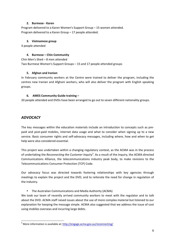#### **2. Burmese - Karen**

Program delivered to a Karen Women's Support Group – 15 women attended. Program delivered to a Karen Group – 17 people attended.

#### **3.** Vietnamese group

4 people attended

#### **4. Burmese – Chin Community**

Chin Men's Shed – 8 men attended Two Burmese Women's Support Groups – 15 and 17 people attended groups

#### **5. Afghan!and!Iranian**

In February community workers at the Centre were trained to deliver the program, including the centres new Iranian and Afghani workers, who will also deliver the program with English speaking groups.

#### **6.** AMES Community Guide training –

20 people attended and DVDs have been arranged to go out to seven different nationality groups.

#### *ADVOCACY*

The key messages within the education materials include an introduction to concepts such as prepaid and post-paid mobiles, internet data usage and what to consider when signing up to a new service. Basic consumer rights and self-advocacy messages, including where, how and when to get help were also considered essential.

This project was undertaken within a changing regulatory context, as the ACMA was in the process of undertaking the *Reconnecting the Customer Inquiry*<sup>3</sup>. As a result of the Inquiry, the ACMA directed Communications Alliance, the telecommunications industry peak body, to make revisions to the Telecommunications Consumer Protection (TCP) Code.

Our advocacy focus was directed towards fostering relationships with key agencies through meetings to explain the project and the DVD, and to reiterate the need for change in regulation of the industry.

The Australian Communications and Media Authority (ACMA)

We took our team of recently arrived community workers to meet with the regulator and to talk about the DVD. ACMA staff raised issues about the use of more complex material but listened to our explanation for keeping the message simple. ACMA also suggested that we address the issue of cost using mobiles overseas and incurring large debts.

<sup>&</sup>lt;sup>3</sup> More information is available at: http://engage.acma.gov.au/reconnecting/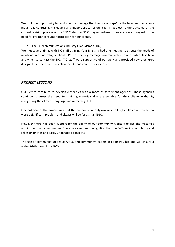We took the opportunity to reinforce the message that the use of 'caps' by the telecommunications" industry is confusing, misleading and inappropriate for our clients. Subject to the outcome of the current revision process of the TCP Code, the FCLC may undertake future advocacy in regard to the need for greater consumer protection for our clients.

• The Telecommunications Industry Ombudsman (TIO)

We met several times with TIO staff at Bring Your Bills and had one meeting to discuss the needs of newly arrived and refugee clients. Part of the key message communicated in our materials is how and when to contact the TIO. TIO staff were supportive of our work and provided new brochures designed by their office to explain the Ombudsman to our clients.

#### *PROJECT'LESSONS*

Our Centre continues to develop closer ties with a range of settlement agencies. These agencies continue to stress the need for training materials that are suitable for their clients – that is, recognising their limited language and numeracy skills.

One criticism of the project was that the materials are only available in English. Costs of translation were a significant problem and always will be for a small NGO.

However there has been support for the ability of our community workers to use the materials within their own communities. There has also been recognition that the DVD avoids complexity and relies on photos and easily understood concepts.

The use of community guides at AMES and community leaders at Footscray has and will ensure a wide distribution of the DVD.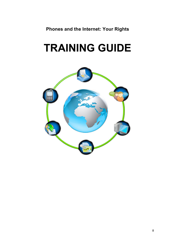**Phones and the Internet: Your Rights**

## **TRAINING GUIDE**

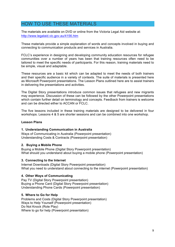## HOW TO USE THESE MATERIALS

The materials are available on DVD or online from the Victoria Legal Aid website at: http://www.legalaid.vic.gov.au/4156.htm

These materials provide a simple explanation of words and concepts involved in buying and connecting to communication products and services in Australia.

FCLC's experience in designing and developing community education resources for refugee communities over a number of years has been that training resources often need to be tailored to meet the specific needs of participants. For this reason, training materials need to be simple, visual and adaptable.

These resources are a basic kit which can be adapted to meet the needs of both trainers and their specific audience in a variety of contexts. The suite of materials is presented here as Microsoft Powerpoint presentations. The Lesson Plans outlined here are to assist trainers in delivering the presentations and activities.

The Digital Story presentations introduce common issues that refugees and new migrants may experience. Discussion of these can be followed by the other Powerpoint presentations which contain further detail on terminology and concepts. Feedback from trainers is welcome and can be directed either to ACCAN or FCLC.

The five lessons included in these training materials are designed to be delivered in four workshops. Lessons 4 & 5 are shorter sessions and can be combined into one workshop.

#### **Lesson Plans**

#### **1. Understanding Communication in Australia**

Ways of Communicating in Australia (Powerpoint presentation) Understanding Costs & Contracts (Powerpoint presentation)

#### **2. Buying a Mobile Phone**

Buying a Mobile Phone (Digital Story Powerpoint presentation) What should you understand about buying a mobile phone (Powerpoint presentation)

#### **3. Connecting to the Internet**

Internet Downloads (Digital Story Powerpoint presentation) What you need to understand about connecting to the internet (Powerpoint presentation)

#### **4. Other Ways of Communicating**

Pay TV (Digital Story Powerpoint presentation) Buying a Phone Card (Digital Story Powerpoint presentation) Understanding Phone Cards (Powerpoint presentation)

#### **5. Where to Go for Help**

Problems and Costs (Digital Story Powerpoint presentation) Ways to Help Yourself (Powerpoint presentation) Do Not Knock (Role Play) Where to go for help (Powerpoint presentation)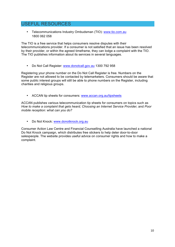## USEFUL RESOURCES

• Telecommunications Industry Ombudsman (TIO): www.tio.com.au 1800 062 058

The TIO is a free service that helps consumers resolve disputes with their telecommunications provider. If a consumer is not satisfied that an issue has been resolved by their provider, or within the agreed timeframe, they can lodge a complaint with the TIO. The TIO publishes information about its services in several languages.

• Do Not Call Register: www.donotcall.gov.au 1300 792 958

Registering your phone number on the Do Not Call Register is free. Numbers on the Register are not allowed to be contacted by telemarketers. Consumers should be aware that some public interest groups will still be able to phone numbers on the Register, including charities and religious groups.

• ACCAN tip sheets for consumers: www.accan.org.au/tipsheets

ACCAN publishes various telecommunication tip sheets for consumers on topics such as *How to make a complaint that gets heard, Choosing an Internet Service Provider, and Poor mobile reception: what can you do?*

• Do Not Knock: www.donotknock.org.au

Consumer Action Law Centre and Financial Counselling Australia have launched a national Do Not Knock campaign, which distributes free stickers to help deter door-to-door salespeople. The website provides useful advice on consumer rights and how to make a complaint.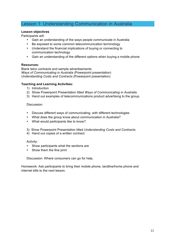## Lesson 1: Understanding Communication in Australia

#### **Lesson objectives**

Participants will:

- Gain an understanding of the ways people communicate in Australia
- Be exposed to some common telecommunication terminology
- Understand the financial implications of buying or connecting to communication technology
- Gain an understanding of the different options when buying a mobile phone

#### **Resources:**

Blank telco contracts and sample advertisements *Ways of Communicating in Australia (*Powerpoint presentation) *Understanding Costs and Contracts (*Powerpoint presentation)

#### **Teaching and Learning Activities:**

- 1) Introduction
- 2) Show Powerpoint Presentation titled *Ways of Communicating in Australia*.
- 3) Hand out examples of telecommunications product advertising to the group.

#### Discussion:

- Discuss different ways of communicating, with different technologies
- What does the group know about communication in Australia?
- What would participants like to know?
- 3) Show Powerpoint Presentation titled *Understanding Costs and Contracts.*
- 4) Hand out copies of a written contract:

#### Activity:

- Show participants what the sections are
- Show them the fine print

Discussion: Where consumers can go for help.

Homework: Ask participants to bring their mobile phone, landline/home phone and internet bills to the next lesson.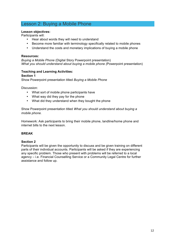## Lesson 2: Buying a Mobile Phone

#### **Lesson objectives:**

Participants will:

- Hear about words they will need to understand
- Become more familiar with terminology specifically related to mobile phones
- Understand the costs and monetary implications of buying a mobile phone

#### **Resources:**

*Buying a Mobile Phone* (Digital Story Powerpoint presentation) *What you should understand about buying a mobile phone (*Powerpoint presentation)

#### **Teaching and Learning Activities: Section 1**

Show Powerpoint presentation titled *Buying a Mobile Phone*

Discussion:

- What sort of mobile phone participants have
- What way did they pay for the phone
- What did they understand when they bought the phone

Show Powerpoint presentation titled *What you should understand about buying a mobile phone.*

Homework: Ask participants to bring their mobile phone, landline/home phone and internet bills to the next lesson.

#### **BREAK**

#### **Section 2**

Participants will be given the opportunity to discuss and be given training on different parts of their individual accounts. Participants will be asked if they are experiencing any specific problem. Those who present with problems will be referred to a local agency – i.e. Financial Counselling Service or a Community Legal Centre for further assistance and follow up.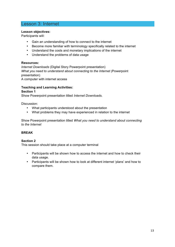## Lesson 3: Internet

#### **Lesson objectives:**

Participants will:

- Gain an understanding of how to connect to the internet
- Become more familiar with terminology specifically related to the internet
- Understand the costs and monetary implications of the internet
- Understand the problems of data usage

#### **Resources:**

*Internet Downloads* (Digital Story Powerpoint presentation) *What you need to understand about connecting to the Internet (*Powerpoint presentation)

A computer with internet access

#### **Teaching and Learning Activities: Section 1**

Show Powerpoint presentation titled *Internet Downloads.*

Discussion:

- What participants understood about the presentation
- What problems they may have experienced in relation to the internet

Show Powerpoint presentation titled *What you need to understand about connecting to the Internet*

#### **BREAK**

#### **Section 2**

This session should take place at a computer terminal

- Participants will be shown how to access the internet and how to check their data usage.
- Participants will be shown how to look at different internet 'plans' and how to compare them.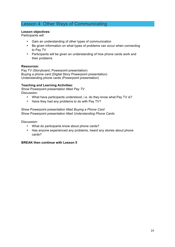## Lesson 4: Other Ways of Communicating

#### **Lesson objectives:**

Participants will:

- Gain an understanding of other types of communication
- Be given information on what types of problems can occur when connecting to Pay TV
- Participants will be given an understanding of how phone cards work and their problems

#### **Resources:**

Pay TV (Storyboard, Powerpoint presentation) Buying a phone card (Digital Story Powerpoint presentation) Understanding phone cards (Powerpoint presentation)

#### **Teaching and Learning Activities:**

Show Powerpoint presentation titled *Pay TV* Discussion:

- What have participants understood, i.e. do they know what Pay TV is?
- Have they had any problems to do with Pay TV?

Show Powerpoint presentation titled *Buying a Phone Card* Show Powerpoint presentation titled *Understanding Phone Cards*

Discussion:

- What do participants know about phone cards?
- Has anyone experienced any problems, heard any stories about phone cards?

#### **BREAK then continue with Lesson 5**